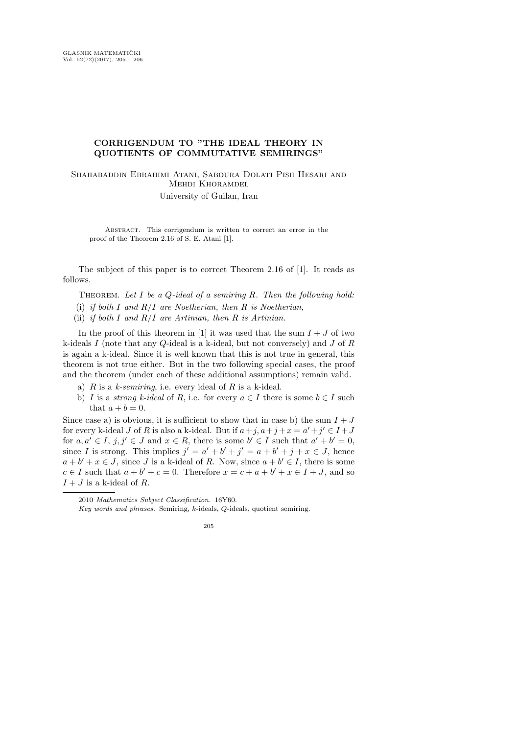## CORRIGENDUM TO "THE IDEAL THEORY IN QUOTIENTS OF COMMUTATIVE SEMIRINGS"

Shahabaddin Ebrahimi Atani, Saboura Dolati Pish Hesari and Mehdi Khoramdel University of Guilan, Iran

Abstract. This corrigendum is written to correct an error in the proof of the Theorem 2.16 of S. E. Atani [1].

The subject of this paper is to correct Theorem 2.16 of [1]. It reads as follows.

Theorem. *Let* I *be a* Q*-ideal of a semiring* R*. Then the following hold:*

- (i) *if both* I *and* R/I *are Noetherian, then* R *is Noetherian,*
- (ii) *if both* I *and* R/I *are Artinian, then* R *is Artinian.*

In the proof of this theorem in [1] it was used that the sum  $I + J$  of two k-ideals I (note that any Q-ideal is a k-ideal, but not conversely) and J of R is again a k-ideal. Since it is well known that this is not true in general, this theorem is not true either. But in the two following special cases, the proof and the theorem (under each of these additional assumptions) remain valid.

- a)  $R$  is a  $k$ -semiring, i.e. every ideal of  $R$  is a k-ideal.
- b) I is a *strong k-ideal* of R, i.e. for every  $a \in I$  there is some  $b \in I$  such that  $a + b = 0$ .

Since case a) is obvious, it is sufficient to show that in case b) the sum  $I + J$ for every k-ideal J of R is also a k-ideal. But if  $a+j$ ,  $a+j+x = a'+j' \in I+J$ for  $a, a' \in I$ ,  $j, j' \in J$  and  $x \in R$ , there is some  $b' \in I$  such that  $a' + b' = 0$ , since I is strong. This implies  $j' = a' + b' + j' = a + b' + j + x \in J$ , hence  $a + b' + x \in J$ , since J is a k-ideal of R. Now, since  $a + b' \in I$ , there is some  $c \in I$  such that  $a + b' + c = 0$ . Therefore  $x = c + a + b' + x \in I + J$ , and so  $I + J$  is a k-ideal of R.

<sup>2010</sup> Mathematics Subject Classification. 16Y60.

Key words and phrases. Semiring, k-ideals, Q-ideals, quotient semiring.

<sup>205</sup>